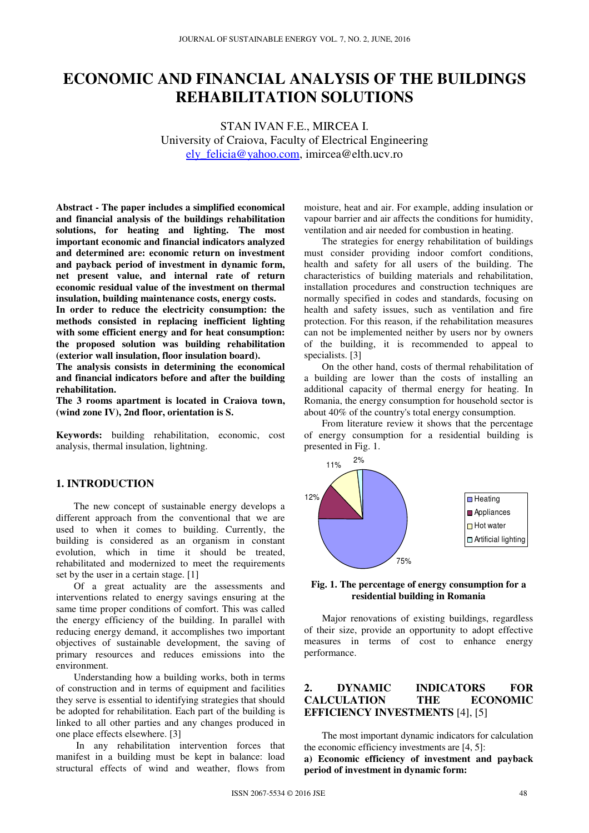# **ECONOMIC AND FINANCIAL ANALYSIS OF THE BUILDINGS REHABILITATION SOLUTIONS**

STAN IVAN F.E., MIRCEA I. University of Craiova, Faculty of Electrical Engineering ely\_felicia@yahoo.com, imircea@elth.ucv.ro

**Abstract - The paper includes a simplified economical and financial analysis of the buildings rehabilitation solutions, for heating and lighting. The most important economic and financial indicators analyzed and determined are: economic return on investment and payback period of investment in dynamic form, net present value, and internal rate of return economic residual value of the investment on thermal insulation, building maintenance costs, energy costs.** 

**In order to reduce the electricity consumption: the methods consisted in replacing inefficient lighting with some efficient energy and for heat consumption: the proposed solution was building rehabilitation (exterior wall insulation, floor insulation board).**

**The analysis consists in determining the economical and financial indicators before and after the building rehabilitation.** 

**The 3 rooms apartment is located in Craiova town, (wind zone IV), 2nd floor, orientation is S.** 

**Keywords:** building rehabilitation, economic, cost analysis, thermal insulation, lightning.

## **1. INTRODUCTION**

The new concept of sustainable energy develops a different approach from the conventional that we are used to when it comes to building. Currently, the building is considered as an organism in constant evolution, which in time it should be treated, rehabilitated and modernized to meet the requirements set by the user in a certain stage. [1]

Of a great actuality are the assessments and interventions related to energy savings ensuring at the same time proper conditions of comfort. This was called the energy efficiency of the building. In parallel with reducing energy demand, it accomplishes two important objectives of sustainable development, the saving of primary resources and reduces emissions into the environment.

Understanding how a building works, both in terms of construction and in terms of equipment and facilities they serve is essential to identifying strategies that should be adopted for rehabilitation. Each part of the building is linked to all other parties and any changes produced in one place effects elsewhere. [3]

 In any rehabilitation intervention forces that manifest in a building must be kept in balance: load structural effects of wind and weather, flows from

moisture, heat and air. For example, adding insulation or vapour barrier and air affects the conditions for humidity, ventilation and air needed for combustion in heating.

The strategies for energy rehabilitation of buildings must consider providing indoor comfort conditions, health and safety for all users of the building. The characteristics of building materials and rehabilitation, installation procedures and construction techniques are normally specified in codes and standards, focusing on health and safety issues, such as ventilation and fire protection. For this reason, if the rehabilitation measures can not be implemented neither by users nor by owners of the building, it is recommended to appeal to specialists. [3]

On the other hand, costs of thermal rehabilitation of a building are lower than the costs of installing an additional capacity of thermal energy for heating. In Romania, the energy consumption for household sector is about 40% of the country's total energy consumption.

From literature review it shows that the percentage of energy consumption for a residential building is presented in Fig. 1.



**Fig. 1. The percentage of energy consumption for a residential building in Romania** 

Major renovations of existing buildings, regardless of their size, provide an opportunity to adopt effective measures in terms of cost to enhance energy performance.

# **2. DYNAMIC INDICATORS FOR CALCULATION THE ECONOMIC EFFICIENCY INVESTMENTS** [4], [5]

The most important dynamic indicators for calculation the economic efficiency investments are [4, 5]: **a) Economic efficiency of investment and payback period of investment in dynamic form:**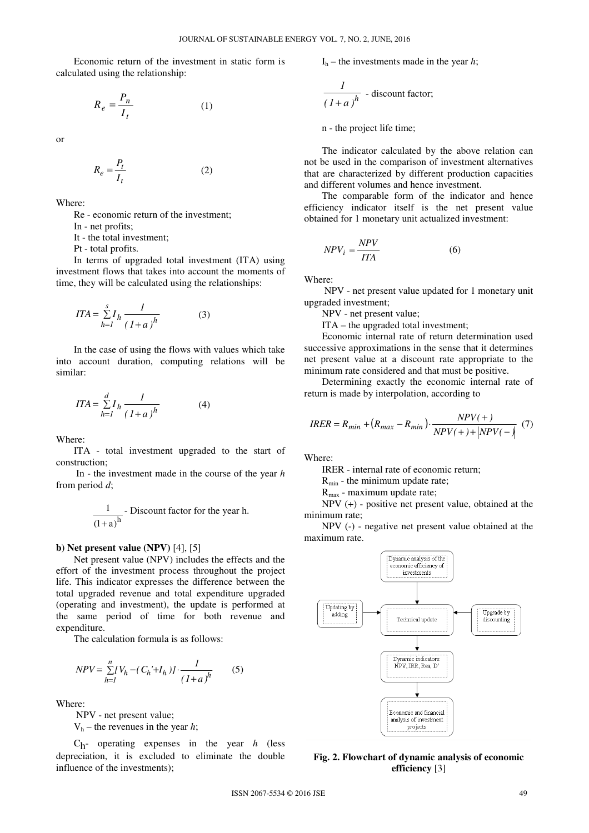Economic return of the investment in static form is calculated using the relationship:

$$
R_e = \frac{P_n}{I_t} \tag{1}
$$

or

$$
R_e = \frac{P_t}{I_t} \tag{2}
$$

Where:

Re - economic return of the investment;

In - net profits;

It - the total investment;

Pt - total profits.

In terms of upgraded total investment (ITA) using investment flows that takes into account the moments of time, they will be calculated using the relationships:

$$
ITA = \sum_{h=1}^{s} I_h \frac{1}{(1+a)^h}
$$
 (3)

In the case of using the flows with values which take into account duration, computing relations will be similar:

$$
ITA = \sum_{h=1}^{d} I_h \frac{1}{(1+a)^h}
$$
 (4)

Where:

ITA - total investment upgraded to the start of construction;

 In - the investment made in the course of the year *h* from period *d*;

$$
\frac{1}{(1+a)^h}
$$
 - Discount factor for the year h.

#### **b) Net present value (NPV)** [4], [5]

Net present value (NPV) includes the effects and the effort of the investment process throughout the project life. This indicator expresses the difference between the total upgraded revenue and total expenditure upgraded (operating and investment), the update is performed at the same period of time for both revenue and expenditure.

The calculation formula is as follows:

$$
NPV = \sum_{h=1}^{n} [V_h - (C_h' + I_h)] \cdot \frac{1}{(1+a)^h}
$$
 (5)

Where:

NPV - net present value;

 $V<sub>h</sub>$  – the revenues in the year *h*;

Ch- operating expenses in the year *h* (less depreciation, it is excluded to eliminate the double influence of the investments);

 $I<sub>h</sub>$  – the investments made in the year *h*;

$$
\frac{1}{(1+a)^h}
$$
 - discount factor;

n - the project life time;

The indicator calculated by the above relation can not be used in the comparison of investment alternatives that are characterized by different production capacities and different volumes and hence investment.

The comparable form of the indicator and hence efficiency indicator itself is the net present value obtained for 1 monetary unit actualized investment:

$$
NPV_i = \frac{NPV}{ITA} \tag{6}
$$

Where:

 NPV - net present value updated for 1 monetary unit upgraded investment;

NPV - net present value;

ITA – the upgraded total investment;

Economic internal rate of return determination used successive approximations in the sense that it determines net present value at a discount rate appropriate to the minimum rate considered and that must be positive.

Determining exactly the economic internal rate of return is made by interpolation, according to

$$
IRER = R_{min} + (R_{max} - R_{min}) \cdot \frac{NPV(+)}{NPV(+) + |NPV(-)|} \tag{7}
$$

Where:

IRER - internal rate of economic return;

 $R_{min}$  - the minimum update rate;

 $R_{\text{max}}$  - maximum update rate;

NPV (+) - positive net present value, obtained at the minimum rate;

NPV (-) - negative net present value obtained at the maximum rate.



**Fig. 2. Flowchart of dynamic analysis of economic efficiency** [3]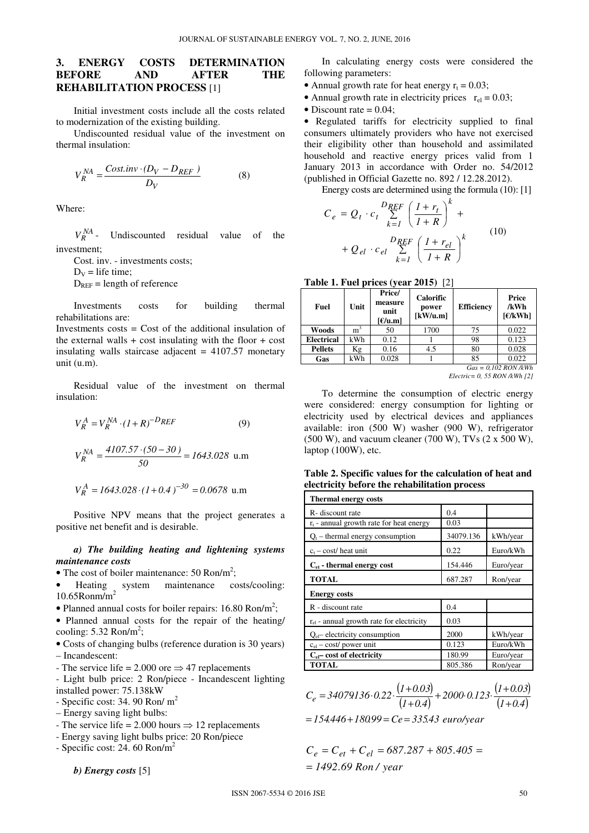# **3. ENERGY COSTS DETERMINATION BEFORE AND AFTER THE REHABILITATION PROCESS** [1]

Initial investment costs include all the costs related to modernization of the existing building.

Undiscounted residual value of the investment on thermal insulation:

$$
V_R^{NA} = \frac{Cost.inv \cdot (D_V - D_{REF})}{D_V}
$$
 (8)

Where:

 $V_P^{NA}$  -Undiscounted residual value of the investment;

Cost. inv. - investments costs;

 $D_V$  = life time;

 $D_{REF}$  = length of reference

Investments costs for building thermal rehabilitations are:

Investments costs = Cost of the additional insulation of the external walls  $+$  cost insulating with the floor  $+$  cost insulating walls staircase adjacent  $= 4107.57$  monetary unit (u.m).

Residual value of the investment on thermal insulation:

$$
V_R^A = V_R^{NA} \cdot (1 + R)^{-D_{REF}} \tag{9}
$$

$$
V_R^{NA} = \frac{4107.57 \cdot (50 - 30)}{50} = 1643.028 \text{ u.m}
$$

$$
V_R^A = 1643.028 \cdot (1 + 0.4)^{-30} = 0.0678 \text{ u.m}
$$

Positive NPV means that the project generates a positive net benefit and is desirable.

#### *a) The building heating and lightening systems maintenance costs*

- The cost of boiler maintenance: 50 Ron/m<sup>2</sup>;
- Heating system maintenance costs/cooling: 10.65Ronm/m<sup>2</sup>
- Planned annual costs for boiler repairs:  $16.80 \text{ Ron/m}^2$ ;

• Planned annual costs for the repair of the heating/ cooling:  $5.32 \text{ Ron/m}^2$ ;

• Costs of changing bulbs (reference duration is 30 years) – Incandescent:

- The service life = 2.000 ore  $\Rightarrow$  47 replacements
- Light bulb price: 2 Ron/piece Incandescent lighting installed power: 75.138kW
- $-$  Specific cost: 34. 90 Ron/ $m<sup>2</sup>$
- Energy saving light bulbs:
- The service life = 2.000 hours  $\Rightarrow$  12 replacements
- Energy saving light bulbs price: 20 Ron/piece
- Specific cost: 24. 60  $\text{Ron/m}^2$

*b) Energy costs* [5]

In calculating energy costs were considered the following parameters:

- Annual growth rate for heat energy  $r_t = 0.03$ ;
- Annual growth rate in electricity prices  $r_{el} = 0.03$ ;
- Discount rate  $= 0.04$ ;

• Regulated tariffs for electricity supplied to final consumers ultimately providers who have not exercised their eligibility other than household and assimilated household and reactive energy prices valid from 1 January 2013 in accordance with Order no. 54/2012 (published in Official Gazette no. 892 / 12.28.2012).

Energy costs are determined using the formula (10): [1]

$$
C_e = Q_t \cdot c_t \sum_{k=1}^{D_{REF}} \left(\frac{1+r_t}{1+R}\right)^k +
$$
  
+  $Q_{el} \cdot c_{el} \sum_{k=1}^{D_{REF}} \left(\frac{1+r_{el}}{1+R}\right)^k$  (10)

| <b>Table 1. Fuel prices (year 2015)</b> [2] |  |  |  |  |
|---------------------------------------------|--|--|--|--|
|---------------------------------------------|--|--|--|--|

| Fuel              | Unit           | Price/<br>measure<br>unit<br>$F/u.m$ ] | <b>Calorific</b><br>power<br>[kW/u.m] | <b>Efficiency</b> | Price<br>/kWh<br>F/KWh |
|-------------------|----------------|----------------------------------------|---------------------------------------|-------------------|------------------------|
| Woods             | m <sup>3</sup> | 50                                     | 1700                                  | 75                | 0.022                  |
| <b>Electrical</b> | kWh            | 0.12                                   |                                       | 98                | 0.123                  |
| <b>Pellets</b>    | Кg             | 0.16                                   | 4.5                                   | 80                | 0.028                  |
| Gas               | kWh            | 0.028                                  |                                       | 85                | 0.022                  |
|                   |                |                                        |                                       |                   | $Gas = 0.102$ RON /kWh |

*Electric= 0, 55 RON /kWh [2]* 

To determine the consumption of electric energy were considered: energy consumption for lighting or electricity used by electrical devices and appliances available: iron (500 W) washer (900 W), refrigerator  $(500 W)$ , and vacuum cleaner  $(700 W)$ , TVs  $(2 x 500 W)$ , laptop (100W), etc.

**Table 2. Specific values for the calculation of heat and electricity before the rehabilitation process** 

| <b>Thermal energy costs</b>                   |           |           |
|-----------------------------------------------|-----------|-----------|
| R- discount rate                              | 0.4       |           |
| $r_t$ - annual growth rate for heat energy    | 0.03      |           |
| $Q_t$ – thermal energy consumption            | 34079.136 | kWh/year  |
| $c_t$ – cost/ heat unit                       | 0.22      | Euro/kWh  |
| $C_{et}$ - thermal energy cost                | 154.446   | Euro/year |
| <b>TOTAL</b>                                  | 687.287   | Ron/year  |
| <b>Energy costs</b>                           |           |           |
| R - discount rate                             | 0.4       |           |
| $r_{el}$ - annual growth rate for electricity | 0.03      |           |
| $Q_{el}$ electricity consumption              | 2000      | kWh/year  |
| $c_{el}$ – cost/ power unit                   | 0.123     | Euro/kWh  |
| $C_{el}$ cost of electricity                  | 180.99    | Euro/year |
| <b>TOTAL</b>                                  | 805.386   | Ron/year  |

$$
C_e = 34079136 \cdot 0.22 \cdot \frac{(1+0.03)}{(1+0.4)} + 2000 \cdot 0.123 \cdot \frac{(1+0.03)}{(1+0.4)}
$$
  
= 154.446 + 180.99 = Ce = 335.43 *euro/year*

*f* 1492.69 *Ron* / *year*  $C_e = C_{et} + C_{el} = 687.287 + 805.405 =$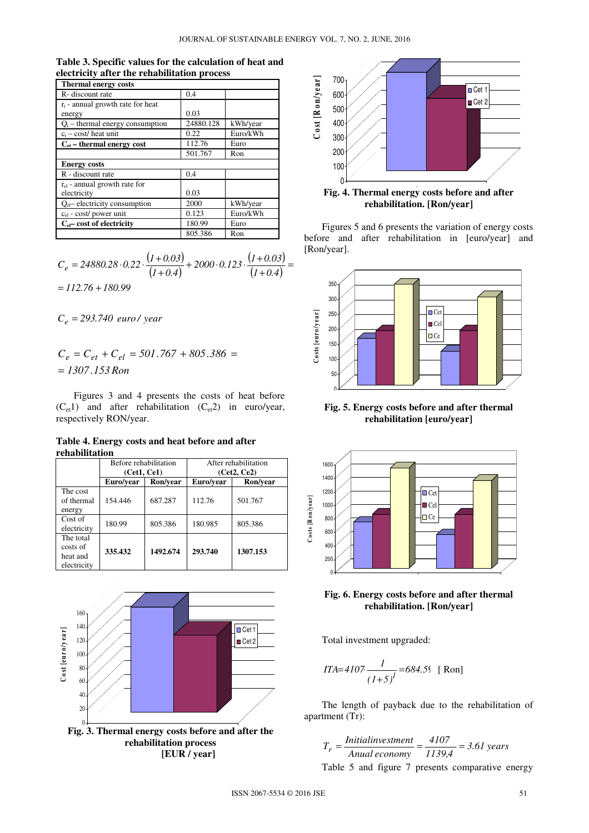| <b>Thermal energy costs</b>                      |           |          |
|--------------------------------------------------|-----------|----------|
| R- discount rate                                 | 0.4       |          |
| $r_t$ - annual growth rate for heat<br>energy    | 0.03      |          |
| $Q_t$ – thermal energy consumption               | 24880.128 | kWh/year |
| $c_t - cost/$ heat unit                          | 0.22      | Euro/kWh |
| $C_{et}$ – thermal energy cost                   | 112.76    | Euro     |
|                                                  | 501.767   | Ron      |
| <b>Energy costs</b>                              |           |          |
| R - discount rate                                | 0.4       |          |
| $r_{el}$ - annual growth rate for<br>electricity | 0.03      |          |
| $Q_{el}$ electricity consumption                 | 2000      | kWh/year |
| cel - cost/ power unit                           | 0.123     | Euro/kWh |
| $C_{el}$ cost of electricity                     | 180.99    | Euro     |
|                                                  | 805.386   | Ron      |

**Table 3. Specific values for the calculation of heat and electricity after the rehabilitation process** 

$$
C_e = 24880.28 \cdot 0.22 \cdot \frac{(1+0.03)}{(1+0.4)} + 2000 \cdot 0.123 \cdot \frac{(1+0.03)}{(1+0.4)} =
$$
  
= 112.76 + 180.99

*C 293 740. euro / year e* =

*1307 153. Ron* =  $C_e = C_{et} + C_{el} = 501.767 + 805.386 =$ 

Figures 3 and 4 presents the costs of heat before  $(C_{et}1)$  and after rehabilitation  $(C_{et}2)$  in euro/year, respectively RON/year.

**Table 4. Energy costs and heat before and after rehabilitation** 

|                                                  | Before rehabilitation |          | After rehabilitation |          |
|--------------------------------------------------|-----------------------|----------|----------------------|----------|
|                                                  | (Cet1, Ce1)           |          | (Cet2, Ce2)          |          |
|                                                  | Ron/vear<br>Euro/vear |          | Euro/vear            | Ron/vear |
| The cost<br>of thermal<br>energy                 | 154.446               | 687.287  | 112.76               | 501.767  |
| Cost of<br>electricity                           | 180.99                | 805.386  | 180.985              | 805.386  |
| The total<br>costs of<br>heat and<br>electricity | 335.432               | 1492.674 | 293.740              | 1307.153 |





Fig. 4. Thermal energy costs before and after **rehabilitation. [Ron/year]** 

Figures 5 and 6 presents the variation of energy costs before and after rehabilitation in [euro/year] and [Ron/year].



**Fig. 5. Energy costs before and after thermal rehabilitation [euro/year]** 



**Fig. 6. Energy costs before and after thermal rehabilitation. [Ron/year]** 

Total investment upgraded:

$$
ITA=4107 \frac{1}{(1+5)^{1}} = 684.5 \text{ S} \text{ [Ron]}
$$

The length of payback due to the rehabilitation of apartment (Tr):

$$
T_r = \frac{Initial investment}{Anual economy} = \frac{4107}{1139.4} = 3.61 \text{ years}
$$
  
Table 5 and figure 7 presents comparative energy